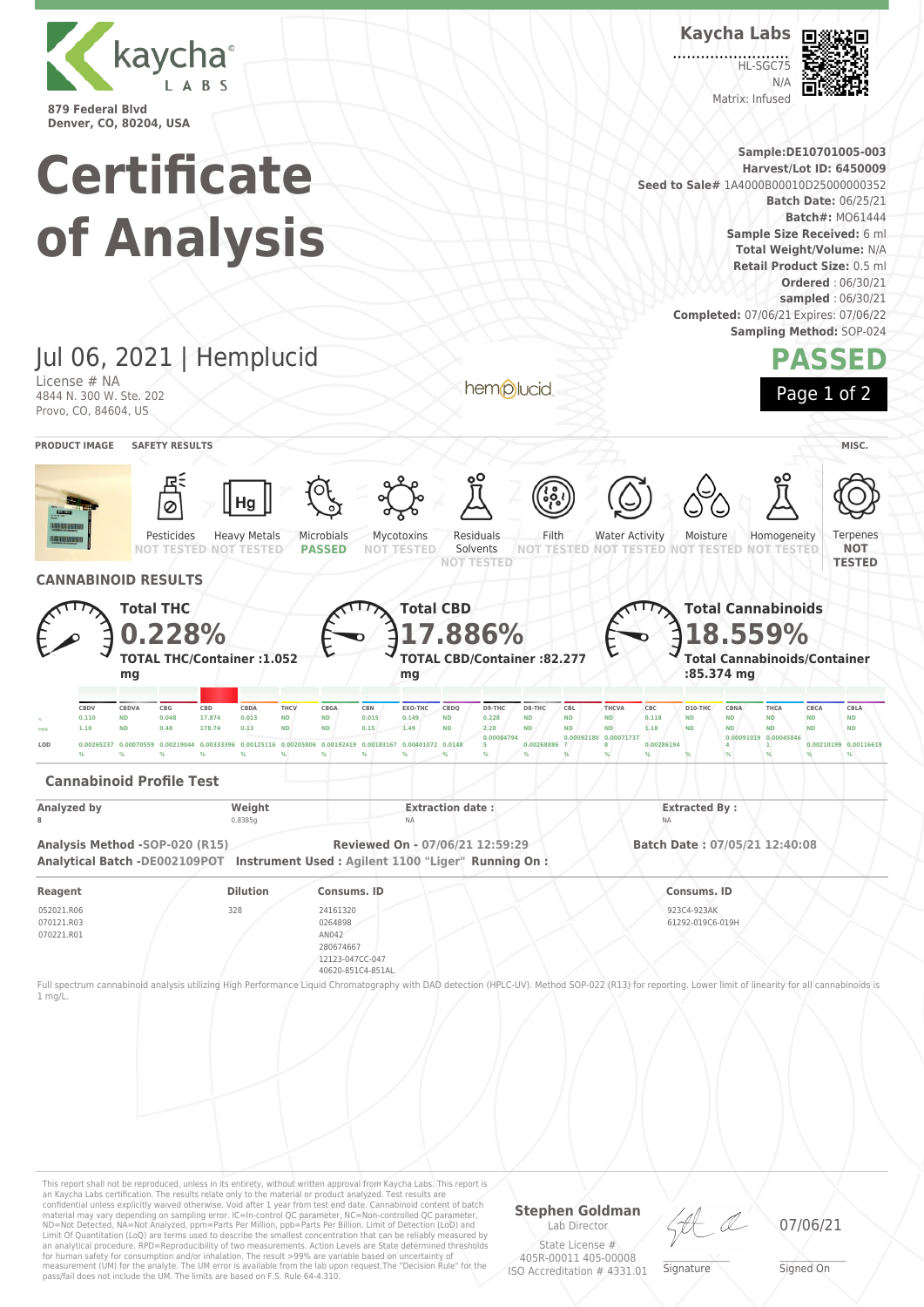

**Kaycha Labs**

 $H<sub>SCC7</sub>$  $N/L$ Matrix: Infused



**Sample:DE10701005-003 Certificate Harvest/Lot ID: 6450009 Seed to Sale#** 1A4000B00010D25000000352 **Batch Date:** 06/25/21 **Batch#:** MO61444 **of Analysis Sample Size Received:** 6 ml **Total Weight/Volume:** N/A **Retail Product Size:** 0.5 ml **Ordered** : 06/30/21 **sampled** : 06/30/21 **Completed:** 07/06/21 Expires: 07/06/22 **Sampling Method:** SOP-024 Jul 06, 2021 | Hemplucid **PASSED** License # NA hemplucid Page 1 of 2 4844 N. 300 W. Ste. 202 Provo, CO, 84604, US **PRODUCT IMAGE SAFETY RESULTS MISC.** Pesticides Heavy Metals Microbials Mycotoxins Residuals Filth Water Activity Moisture Homogeneity Terpenes **NOT TESTED NOT TESTED PASSED NOT TESTED** Solvents **NOT NOT TESTED NOT TESTED NOT TESTED NOT TESTED NOT TESTED TESTED CANNABINOID RESULTS Total THC Total CBD Total Cannabinoids 17.886% 0.228% 18.559% TOTAL THC/Container :1.052 TOTAL CBD/Container :82.277 Total Cannabinoids/Container :85.374 mg mg mg** CBDV CBDVA CBG CBD CBDA THCV CBGA CBN EXO-THC CBDQ D9-THC D8-THC CBL THCVA CBC D10-THC CBNA THCA CBCA CBL/  $_{\times}$  0.110 ND 0.048 17.874 0.013 ND ND 0.015 0.149 ND 0.228 ND ND ND 0.118 ND ND ND ND ND ND ND <sub>mg/g</sub> 1.10 ND 0.48 178.74 0.13 ND ND 0.15 1.49 ND 2.28 ND ND ND 1.18 ND ND ND ND ND ND **0.00071737 0.00084794** 0.00 0.00 **0.00045846 8 0.00286194 1 0.00210199 0.00116619 LOD 0.00265237 0.00070559 0.00219044 0.00333396 0.00125116 0.00205806 0.00192419 0.00183167 0.00401072 0.0148 5 0.00268886 7 4 % % % % % % % % % % % % % % % % % % % % Cannabinoid Profile Test Analyzed by Weight Extraction date : Extracted By : 8** 0.8385g NA NA **Analysis Method -SOP-020 (R15) Reviewed On - 07/06/21 12:59:29 Batch Date : 07/05/21 12:40:08 Analytical Batch -DE002109POT Instrument Used : Agilent 1100 "Liger" Running On : Reagent Dilution Consums. ID Consums. ID** 052021.R06 328 24161320 923C4-923AK 070121.R03 0264898 61292-019C6-019H 070221.R01 AN042 280674667 12123-047CC-047 40620-851C4-851AL Full spectrum cannabinoid analysis utilizing High Performance Liquid Chromatography with DAD detection (HPLC-UV). Method SOP-022 (R13) for reporting. Lower limit of linearity for all cannabinoids is 1 mg/L.

This report shall not be reproduced, unless in its entirety, without written approval from Kaycha Labs. This report is an Kaycha Labs certification. The results relate only to the material or product analyzed. Test results are<br>confidential unless explicitly waived otherwise. Void after 1 year from test end date. Cannabinoid content of bat Limit Of Quantitation (LoQ) are terms used to describe the smallest concentration that can be reliably measured by an analytical procedure. RPD=Reproducibility of two measurements. Action Levels are State determined thresholds for human safety for consumption and/or inhalation. The result >99% are variable based on uncertainty of measurement (UM) for the analyte. The UM error is available from the lab upon request.The "Decision Rule" for the pass/fail does not include the UM. The limits are based on F.S. Rule 64-4.310.

**Stephen Goldman**

Lab Director State License # 405R-00011 405-00008 ISO Accreditation # 4331.01

\_\_\_\_\_\_\_\_\_\_\_\_\_\_\_\_\_\_\_ Signature

07/06/21

\_\_\_\_\_\_\_\_\_\_\_\_\_\_\_\_\_\_\_ Signed On